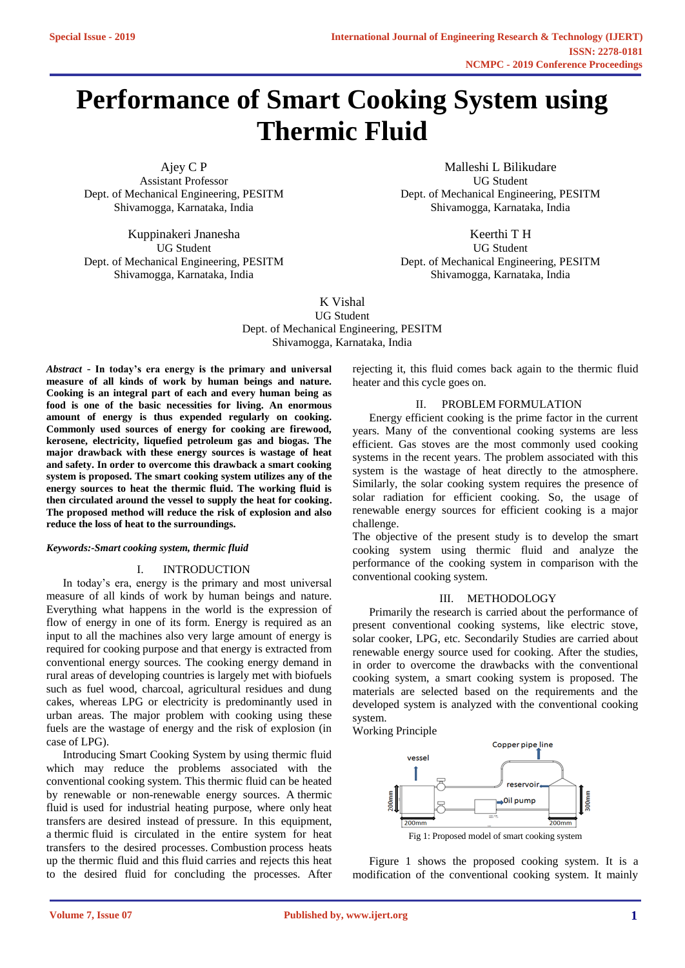# **Performance of Smart Cooking System using Thermic Fluid**

Ajey C P Assistant Professor Dept. of Mechanical Engineering, PESITM Shivamogga, Karnataka, India

Kuppinakeri Jnanesha UG Student Dept. of Mechanical Engineering, PESITM Shivamogga, Karnataka, India

Malleshi L Bilikudare UG Student Dept. of Mechanical Engineering, PESITM Shivamogga, Karnataka, India

Keerthi T H UG Student Dept. of Mechanical Engineering, PESITM Shivamogga, Karnataka, India

K Vishal UG Student Dept. of Mechanical Engineering, PESITM Shivamogga, Karnataka, India

*Abstract* - **In today's era energy is the primary and universal measure of all kinds of work by human beings and nature. Cooking is an integral part of each and every human being as food is one of the basic necessities for living. An enormous amount of energy is thus expended regularly on cooking. Commonly used sources of energy for cooking are firewood, kerosene, electricity, liquefied petroleum gas and biogas. The major drawback with these energy sources is wastage of heat and safety. In order to overcome this drawback a smart cooking system is proposed. The smart cooking system utilizes any of the energy sources to heat the thermic fluid. The working fluid is then circulated around the vessel to supply the heat for cooking. The proposed method will reduce the risk of explosion and also reduce the loss of heat to the surroundings.** 

# *Keywords:-Smart cooking system, thermic fluid*

#### I. INTRODUCTION

In today's era, energy is the primary and most universal measure of all kinds of work by human beings and nature. Everything what happens in the world is the expression of flow of energy in one of its form. Energy is required as an input to all the machines also very large amount of energy is required for cooking purpose and that energy is extracted from conventional energy sources. The cooking energy demand in rural areas of developing countries is largely met with biofuels such as fuel wood, charcoal, agricultural residues and dung cakes, whereas LPG or electricity is predominantly used in urban areas. The major problem with cooking using these fuels are the wastage of energy and the risk of explosion (in case of LPG).

Introducing Smart Cooking System by using thermic fluid which may reduce the problems associated with the conventional cooking system. This thermic fluid can be heated by renewable or non-renewable energy sources. A thermic fluid is used for industrial heating purpose, where only heat transfers are desired instead of pressure. In this equipment, a thermic fluid is circulated in the entire system for heat transfers to the desired processes. Combustion process heats up the thermic fluid and this fluid carries and rejects this heat to the desired fluid for concluding the processes. After rejecting it, this fluid comes back again to the thermic fluid heater and this cycle goes on.

# II. PROBLEM FORMULATION

Energy efficient cooking is the prime factor in the current years. Many of the conventional cooking systems are less efficient. Gas stoves are the most commonly used cooking systems in the recent years. The problem associated with this system is the wastage of heat directly to the atmosphere. Similarly, the solar cooking system requires the presence of solar radiation for efficient cooking. So, the usage of renewable energy sources for efficient cooking is a major challenge.

The objective of the present study is to develop the smart cooking system using thermic fluid and analyze the performance of the cooking system in comparison with the conventional cooking system.

# III. METHODOLOGY

Primarily the research is carried about the performance of present conventional cooking systems, like electric stove, solar cooker, LPG, etc. Secondarily Studies are carried about renewable energy source used for cooking. After the studies, in order to overcome the drawbacks with the conventional cooking system, a smart cooking system is proposed. The materials are selected based on the requirements and the developed system is analyzed with the conventional cooking system.

Working Principle



Figure 1 shows the proposed cooking system. It is a modification of the conventional cooking system. It mainly